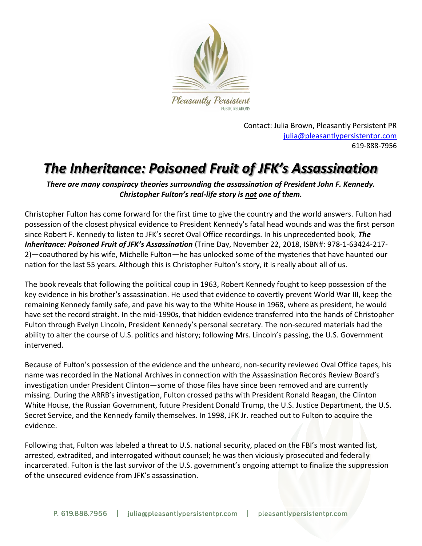

Contact: Julia Brown, Pleasantly Persistent PR [julia@pleasantlypersistentpr.com](mailto:julia@pleasantlypersistentpr.com)  619-888-7956

### *The Inheritance: Poisoned Fruit of JFK's Assassination*

*There are many conspiracy theories surrounding the assassination of President John F. Kennedy. Christopher Fulton's real-life story is not one of them.*

Christopher Fulton has come forward for the first time to give the country and the world answers. Fulton had possession of the closest physical evidence to President Kennedy's fatal head wounds and was the first person since Robert F. Kennedy to listen to JFK's secret Oval Office recordings. In his unprecedented book, *The Inheritance: Poisoned Fruit of JFK's Assassination* (Trine Day, November 22, 2018, ISBN#: 978-1-63424-217- 2)—coauthored by his wife, Michelle Fulton*—*he has unlocked some of the mysteries that have haunted our nation for the last 55 years. Although this is Christopher Fulton's story, it is really about all of us.

The book reveals that following the political coup in 1963, Robert Kennedy fought to keep possession of the key evidence in his brother's assassination. He used that evidence to covertly prevent World War III, keep the remaining Kennedy family safe, and pave his way to the White House in 1968, where as president, he would have set the record straight. In the mid-1990s, that hidden evidence transferred into the hands of Christopher Fulton through Evelyn Lincoln, President Kennedy's personal secretary. The non-secured materials had the ability to alter the course of U.S. politics and history; following Mrs. Lincoln's passing, the U.S. Government intervened.

Because of Fulton's possession of the evidence and the unheard, non-security reviewed Oval Office tapes, his name was recorded in the National Archives in connection with the Assassination Records Review Board's investigation under President Clinton—some of those files have since been removed and are currently missing. During the ARRB's investigation, Fulton crossed paths with President Ronald Reagan, the Clinton White House, the Russian Government, future President Donald Trump, the U.S. Justice Department, the U.S. Secret Service, and the Kennedy family themselves. In 1998, JFK Jr. reached out to Fulton to acquire the evidence.

Following that, Fulton was labeled a threat to U.S. national security, placed on the FBI's most wanted list, arrested, extradited, and interrogated without counsel; he was then viciously prosecuted and federally incarcerated. Fulton is the last survivor of the U.S. government's ongoing attempt to finalize the suppression of the unsecured evidence from JFK's assassination.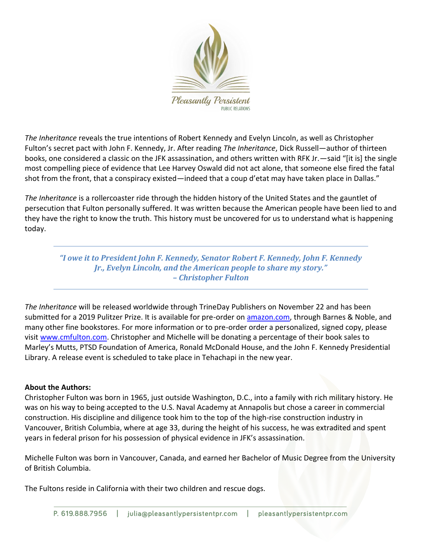

*The Inheritance* reveals the true intentions of Robert Kennedy and Evelyn Lincoln, as well as Christopher Fulton's secret pact with John F. Kennedy, Jr. After reading *The Inheritance*, Dick Russell—author of thirteen books, one considered a classic on the JFK assassination, and others written with RFK Jr.—said "[it is] the single most compelling piece of evidence that Lee Harvey Oswald did not act alone, that someone else fired the fatal shot from the front, that a conspiracy existed—indeed that a coup d'etat may have taken place in Dallas."

*The Inheritance* is a rollercoaster ride through the hidden history of the United States and the gauntlet of persecution that Fulton personally suffered. It was written because the American people have been lied to and they have the right to know the truth. This history must be uncovered for us to understand what is happening today.

*"I owe it to President John F. Kennedy, Senator Robert F. Kennedy, John F. Kennedy Jr., Evelyn Lincoln, and the American people to share my story." – Christopher Fulton*

*The Inheritance* will be released worldwide through TrineDay Publishers on November 22 and has been submitted for a 2019 Pulitzer Prize. It is available for pre-order on [amazon.com,](http://amazon.com/) through Barnes & Noble, and many other fine bookstores. For more information or to pre-order order a personalized, signed copy, please visit [www.cmfulton.com.](http://www.cmfulton.com/) Christopher and Michelle will be donating a percentage of their book sales to Marley's Mutts, PTSD Foundation of America, Ronald McDonald House, and the John F. Kennedy Presidential Library. A release event is scheduled to take place in Tehachapi in the new year.

#### **About the Authors:**

Christopher Fulton was born in 1965, just outside Washington, D.C., into a family with rich military history. He was on his way to being accepted to the U.S. Naval Academy at Annapolis but chose a career in commercial construction. His discipline and diligence took him to the top of the high-rise construction industry in Vancouver, British Columbia, where at age 33, during the height of his success, he was extradited and spent years in federal prison for his possession of physical evidence in JFK's assassination.

Michelle Fulton was born in Vancouver, Canada, and earned her Bachelor of Music Degree from the University of British Columbia.

The Fultons reside in California with their two children and rescue dogs.